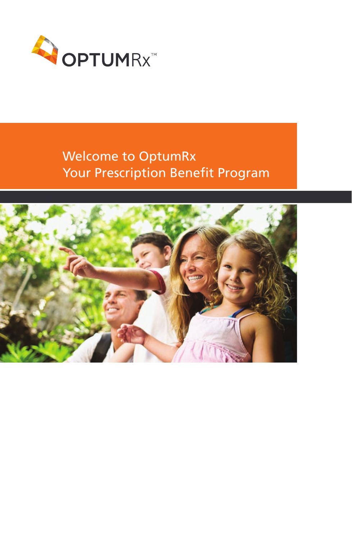

#### Welcome to OptumRx Your Prescription Benefit Program

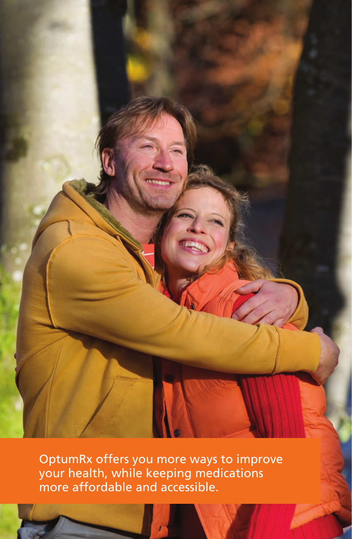

OptumRx offers you more ways to improve your health, while keeping medications more affordable and accessible.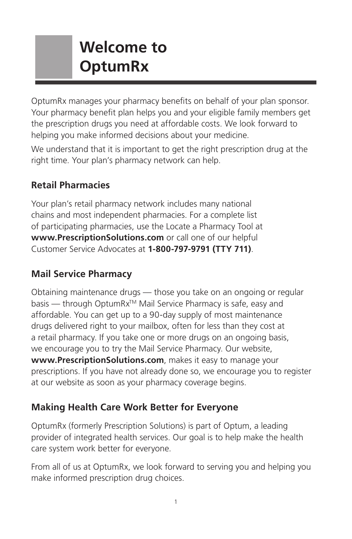#### **Welcome to OptumRx**

OptumRx manages your pharmacy benefits on behalf of your plan sponsor. Your pharmacy benefit plan helps you and your eligible family members get the prescription drugs you need at affordable costs. We look forward to helping you make informed decisions about your medicine.

We understand that it is important to get the right prescription drug at the right time. Your plan's pharmacy network can help.

#### **Retail Pharmacies**

Your plan's retail pharmacy network includes many national chains and most independent pharmacies. For a complete list of participating pharmacies, use the Locate a Pharmacy Tool at **www.PrescriptionSolutions.com** or call one of our helpful Customer Service Advocates at **1-800-797-9791 (TTY 711)**.

#### **Mail Service Pharmacy**

Obtaining maintenance drugs — those you take on an ongoing or regular basis — through OptumRx<sup>™</sup> Mail Service Pharmacy is safe, easy and affordable. You can get up to a 90-day supply of most maintenance drugs delivered right to your mailbox, often for less than they cost at a retail pharmacy. If you take one or more drugs on an ongoing basis, we encourage you to try the Mail Service Pharmacy. Our website, **www.PrescriptionSolutions.com**, makes it easy to manage your prescriptions. If you have not already done so, we encourage you to register at our website as soon as your pharmacy coverage begins.

#### **Making Health Care Work Better for Everyone**

OptumRx (formerly Prescription Solutions) is part of Optum, a leading provider of integrated health services. Our goal is to help make the health care system work better for everyone.

From all of us at OptumRx, we look forward to serving you and helping you make informed prescription drug choices.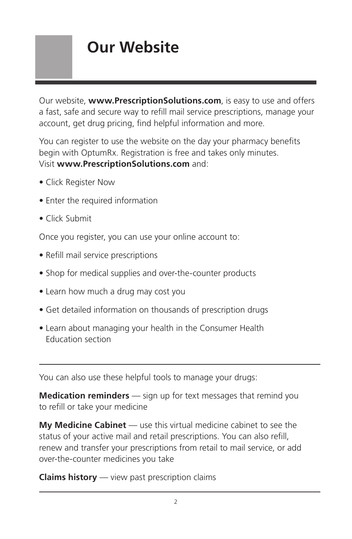#### **Our Website**

Our website, **www.PrescriptionSolutions.com**, is easy to use and offers a fast, safe and secure way to refill mail service prescriptions, manage your account, get drug pricing, find helpful information and more.

You can register to use the website on the day your pharmacy benefits begin with OptumRx. Registration is free and takes only minutes. Visit **www.PrescriptionSolutions.com** and:

- Click Register Now
- Enter the required information
- Click Submit

Once you register, you can use your online account to:

- Refill mail service prescriptions
- Shop for medical supplies and over-the-counter products
- Learn how much a drug may cost you
- Get detailed information on thousands of prescription drugs
- Learn about managing your health in the Consumer Health Education section

You can also use these helpful tools to manage your drugs:

**Medication reminders** — sign up for text messages that remind you to refill or take your medicine

**My Medicine Cabinet** — use this virtual medicine cabinet to see the status of your active mail and retail prescriptions. You can also refill, renew and transfer your prescriptions from retail to mail service, or add over-the-counter medicines you take

**Claims history** — view past prescription claims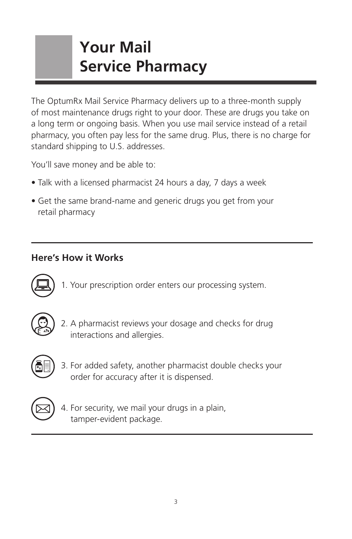#### **Your Mail Service Pharmacy**

The OptumRx Mail Service Pharmacy delivers up to a three-month supply of most maintenance drugs right to your door. These are drugs you take on a long term or ongoing basis. When you use mail service instead of a retail pharmacy, you often pay less for the same drug. Plus, there is no charge for standard shipping to U.S. addresses.

You'll save money and be able to:

- Talk with a licensed pharmacist 24 hours a day, 7 days a week
- Get the same brand-name and generic drugs you get from your retail pharmacy

#### **Here's How it Works**

1. Your prescription order enters our processing system.



2. A pharmacist reviews your dosage and checks for drug interactions and allergies.



3. For added safety, another pharmacist double checks your order for accuracy after it is dispensed.



4. For security, we mail your drugs in a plain, tamper-evident package.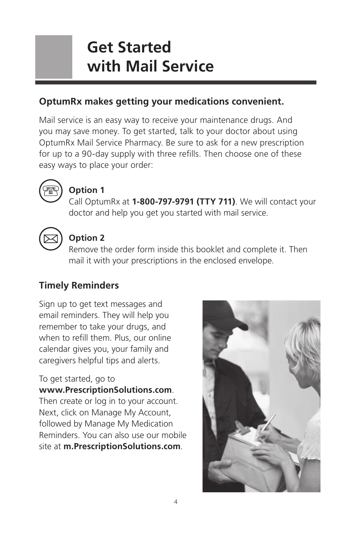#### **Get Started with Mail Service**

#### **OptumRx makes getting your medications convenient.**

Mail service is an easy way to receive your maintenance drugs. And you may save money. To get started, talk to your doctor about using OptumRx Mail Service Pharmacy. Be sure to ask for a new prescription for up to a 90-day supply with three refills. Then choose one of these easy ways to place your order:



#### **Option 1**

Call OptumRx at **1-800-797-9791 (TTY 711)**. We will contact your doctor and help you get you started with mail service.



#### **Option 2**

Remove the order form inside this booklet and complete it. Then mail it with your prescriptions in the enclosed envelope.

#### **Timely Reminders**

Sign up to get text messages and email reminders. They will help you remember to take your drugs, and when to refill them. Plus, our online calendar gives you, your family and caregivers helpful tips and alerts.

#### To get started, go to

**www.PrescriptionSolutions.com**. Then create or log in to your account. Next, click on Manage My Account, followed by Manage My Medication Reminders. You can also use our mobile site at **m.PrescriptionSolutions.com**.

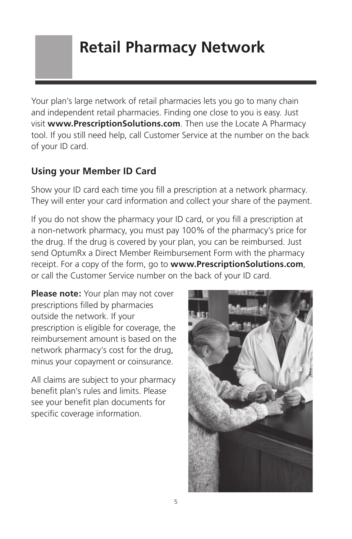#### **Retail Pharmacy Network**

Your plan's large network of retail pharmacies lets you go to many chain and independent retail pharmacies. Finding one close to you is easy. Just visit **www.PrescriptionSolutions.com**. Then use the Locate A Pharmacy tool. If you still need help, call Customer Service at the number on the back of your ID card.

#### **Using your Member ID Card**

Show your ID card each time you fill a prescription at a network pharmacy. They will enter your card information and collect your share of the payment.

If you do not show the pharmacy your ID card, or you fill a prescription at a non-network pharmacy, you must pay 100% of the pharmacy's price for the drug. If the drug is covered by your plan, you can be reimbursed. Just send OptumRx a Direct Member Reimbursement Form with the pharmacy receipt. For a copy of the form, go to **www.PrescriptionSolutions.com**, or call the Customer Service number on the back of your ID card.

**Please note:** Your plan may not cover prescriptions filled by pharmacies outside the network. If your prescription is eligible for coverage, the reimbursement amount is based on the network pharmacy's cost for the drug, minus your copayment or coinsurance.

All claims are subject to your pharmacy benefit plan's rules and limits. Please see your benefit plan documents for specific coverage information.

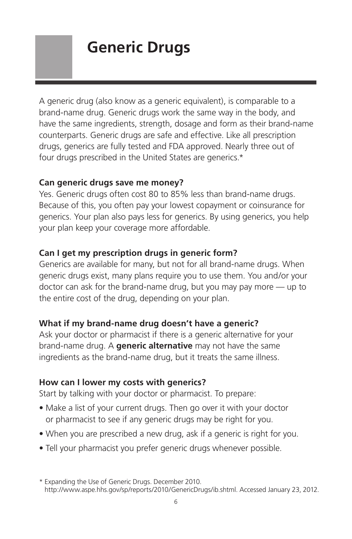#### **Generic Drugs**

A generic drug (also know as a generic equivalent), is comparable to a brand-name drug. Generic drugs work the same way in the body, and have the same ingredients, strength, dosage and form as their brand-name counterparts. Generic drugs are safe and effective. Like all prescription drugs, generics are fully tested and FDA approved. Nearly three out of four drugs prescribed in the United States are generics.\*

#### **Can generic drugs save me money?**

Yes. Generic drugs often cost 80 to 85% less than brand-name drugs. Because of this, you often pay your lowest copayment or coinsurance for generics. Your plan also pays less for generics. By using generics, you help your plan keep your coverage more affordable.

#### **Can I get my prescription drugs in generic form?**

Generics are available for many, but not for all brand-name drugs. When generic drugs exist, many plans require you to use them. You and/or your doctor can ask for the brand-name drug, but you may pay more — up to the entire cost of the drug, depending on your plan.

#### **What if my brand-name drug doesn't have a generic?**

Ask your doctor or pharmacist if there is a generic alternative for your brand-name drug. A **generic alternative** may not have the same ingredients as the brand-name drug, but it treats the same illness.

#### **How can I lower my costs with generics?**

Start by talking with your doctor or pharmacist. To prepare:

- Make a list of your current drugs. Then go over it with your doctor or pharmacist to see if any generic drugs may be right for you.
- When you are prescribed a new drug, ask if a generic is right for you.
- Tell your pharmacist you prefer generic drugs whenever possible.

<sup>\*</sup> Expanding the Use of Generic Drugs. December 2010. http://www.aspe.hhs.gov/sp/reports/2010/GenericDrugs/ib.shtml. Accessed January 23, 2012.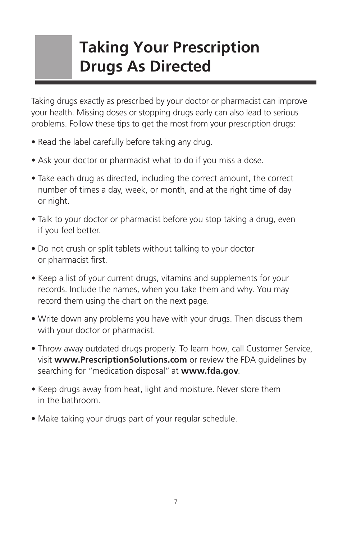#### **Taking Your Prescription Drugs As Directed**

Taking drugs exactly as prescribed by your doctor or pharmacist can improve your health. Missing doses or stopping drugs early can also lead to serious problems. Follow these tips to get the most from your prescription drugs:

- Read the label carefully before taking any drug.
- Ask your doctor or pharmacist what to do if you miss a dose.
- Take each drug as directed, including the correct amount, the correct number of times a day, week, or month, and at the right time of day or night.
- Talk to your doctor or pharmacist before you stop taking a drug, even if you feel better.
- Do not crush or split tablets without talking to your doctor or pharmacist first.
- Keep a list of your current drugs, vitamins and supplements for your records. Include the names, when you take them and why. You may record them using the chart on the next page.
- Write down any problems you have with your drugs. Then discuss them with your doctor or pharmacist.
- Throw away outdated drugs properly. To learn how, call Customer Service, visit **www.PrescriptionSolutions.com** or review the FDA guidelines by searching for "medication disposal" at **www.fda.gov**.
- Keep drugs away from heat, light and moisture. Never store them in the bathroom.
- Make taking your drugs part of your regular schedule.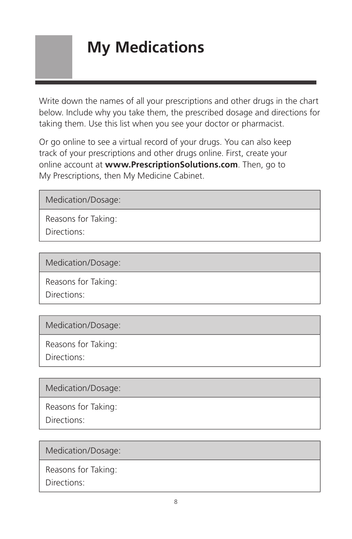#### **My Medications**

Write down the names of all your prescriptions and other drugs in the chart below. Include why you take them, the prescribed dosage and directions for taking them. Use this list when you see your doctor or pharmacist.

Or go online to see a virtual record of your drugs. You can also keep track of your prescriptions and other drugs online. First, create your online account at **www.PrescriptionSolutions.com**. Then, go to My Prescriptions, then My Medicine Cabinet.

Medication/Dosage:

Reasons for Taking:

Directions:

Medication/Dosage:

Reasons for Taking:

Directions:

Medication/Dosage:

Reasons for Taking:

Directions:

Medication/Dosage:

Reasons for Taking:

Directions:

Medication/Dosage:

Reasons for Taking:

Directions: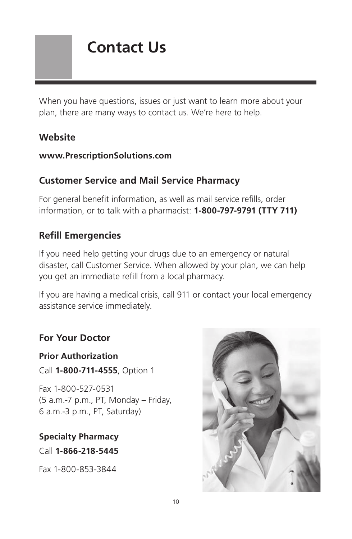#### **Contact Us**

When you have questions, issues or just want to learn more about your plan, there are many ways to contact us. We're here to help.

#### **Website**

#### **www.PrescriptionSolutions.com**

#### **Customer Service and Mail Service Pharmacy**

For general benefit information, as well as mail service refills, order information, or to talk with a pharmacist: **1-800-797-9791 (TTY 711)**

#### **Refill Emergencies**

If you need help getting your drugs due to an emergency or natural disaster, call Customer Service. When allowed by your plan, we can help you get an immediate refill from a local pharmacy.

If you are having a medical crisis, call 911 or contact your local emergency assistance service immediately.

#### **For Your Doctor**

**Prior Authorization**

Call **1-800-711-4555**, Option 1

Fax 1-800-527-0531 (5 a.m.-7 p.m., PT, Monday – Friday, 6 a.m.-3 p.m., PT, Saturday)

**Specialty Pharmacy** Call **1-866-218-5445**

Fax 1-800-853-3844

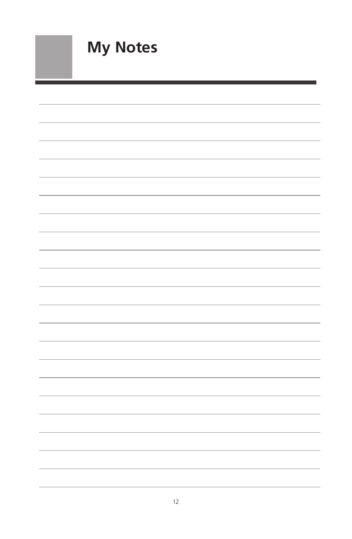|  | <b>My Notes</b> |
|--|-----------------|
|--|-----------------|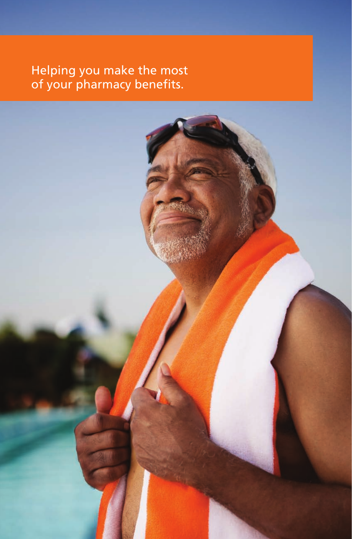#### Helping you make the most of your pharmacy benefits.

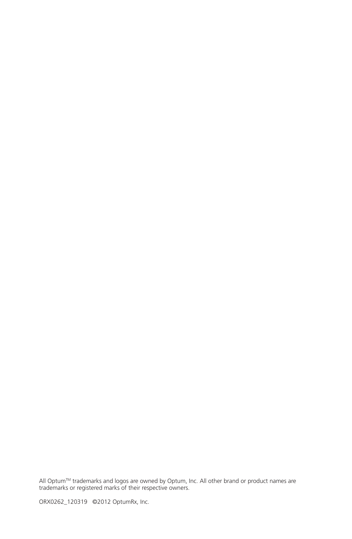All OptumTM trademarks and logos are owned by Optum, Inc. All other brand or product names are trademarks or registered marks of their respective owners.

ORX0262\_120319 ©2012 OptumRx, Inc.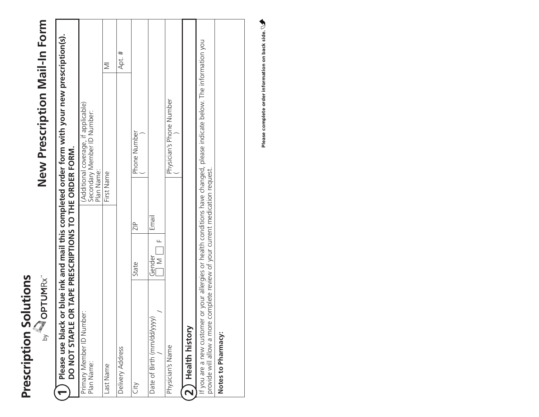## Prescription Solutions



## New Prescription Mail-In Form **New Prescription Mail-In Form**

| DO NOT STAPLI                                                                 |                                        |                      | Please use black or blue ink and mail this completed order form with your new prescription(s).<br>E OR TAPE PRESCRIPTIONS TO THE ORDER FORM. |       |
|-------------------------------------------------------------------------------|----------------------------------------|----------------------|----------------------------------------------------------------------------------------------------------------------------------------------|-------|
| Primary Member ID Number:<br>Plan Name:                                       |                                        |                      | (Additional coverage, if applicable)<br>Secondary Member ID Number:<br>Plan Name:                                                            |       |
| Last Name                                                                     |                                        |                      | First Name                                                                                                                                   | ₹     |
| Delivery Address                                                              |                                        |                      |                                                                                                                                              | Apt.# |
| <b>All</b>                                                                    | State                                  | $\frac{P}{\sqrt{2}}$ | Phone Number                                                                                                                                 |       |
| Date of Birth (mm/dd/yyyy                                                     | щ<br>$\overline{\mathbb{R}}$<br>Gender | Email                |                                                                                                                                              |       |
| Physician's Name                                                              |                                        |                      | Physician's Phone Number                                                                                                                     |       |
| <b>Health history</b>                                                         |                                        |                      |                                                                                                                                              |       |
| provide will allow a more complete review of your current medication request. |                                        |                      | If you are a new customer or your allergies or health conditions have changed, please indicate below. The information you                    |       |
| Notes to Pharmacy:                                                            |                                        |                      |                                                                                                                                              |       |

Please complete order information on back side. **Please complete order information on back side.**